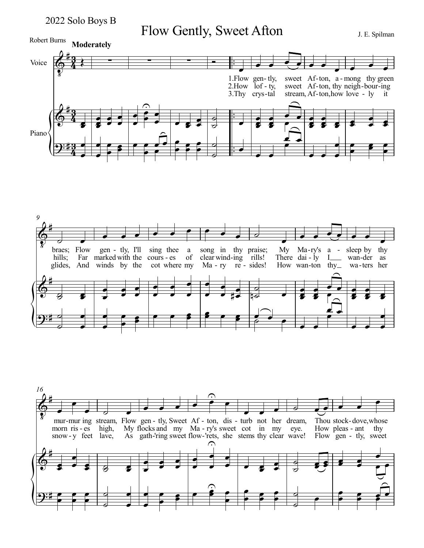2022 Solo Boys B

Flow Gently, Sweet Afton